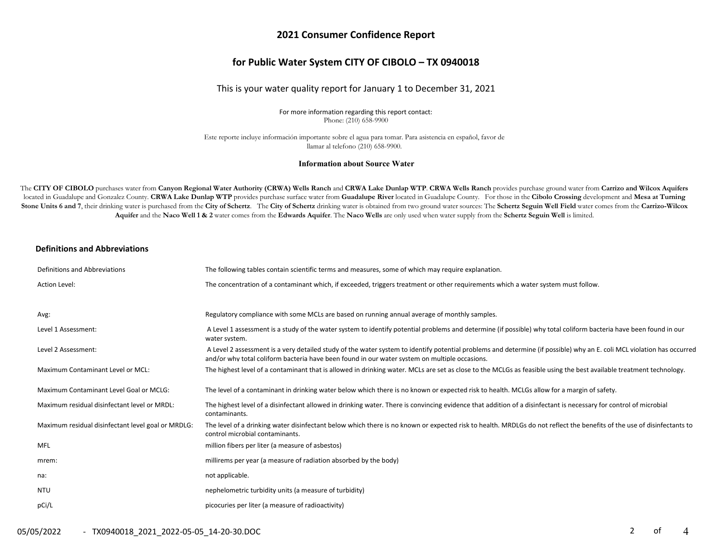### **2021 Consumer Confidence Report**

### **for Public Water System CITY OF CIBOLO – TX 0940018**

### This is your water quality report for January 1 to December 31, 2021

For more information regarding this report contact: Phone: (210) 658-9900

Este reporte incluye información importante sobre el agua para tomar. Para asistencia en español, favor de llamar al telefono (210) 658-9900.

#### **Information about Source Water**

The CITY OF CIBOLO purchases water from Canyon Regional Water Authority (CRWA) Wells Ranch and CRWA Lake Dunlap WTP. CRWA Wells Ranch provides purchase ground water from Carrizo and Wilcox Aquifers located in Guadalupe and Gonzalez County. CRWA Lake Dunlap WTP provides purchase surface water from Guadalupe River located in Guadalupe County. For those in the Cibolo Crossing development and Mesa at Turning Stone Units 6 and 7, their drinking water is purchased from the City of Schertz. The City of Schertz drinking water is obtained from two ground water sources: The Schertz Seguin Well Field water comes from the Carrizo-Wilc Aquifer and the Naco Well 1 & 2 water comes from the Edwards Aquifer. The Naco Wells are only used when water supply from the Schertz Seguin Well is limited.

#### **Definitions and Abbreviations**

| Definitions and Abbreviations                      | The following tables contain scientific terms and measures, some of which may require explanation.                                                                                                                                                                      |
|----------------------------------------------------|-------------------------------------------------------------------------------------------------------------------------------------------------------------------------------------------------------------------------------------------------------------------------|
| Action Level:                                      | The concentration of a contaminant which, if exceeded, triggers treatment or other requirements which a water system must follow.                                                                                                                                       |
|                                                    |                                                                                                                                                                                                                                                                         |
| Avg:                                               | Regulatory compliance with some MCLs are based on running annual average of monthly samples.                                                                                                                                                                            |
| Level 1 Assessment:                                | A Level 1 assessment is a study of the water system to identify potential problems and determine (if possible) why total coliform bacteria have been found in our<br>water system.                                                                                      |
| Level 2 Assessment:                                | A Level 2 assessment is a very detailed study of the water system to identify potential problems and determine (if possible) why an E. coli MCL violation has occurred<br>and/or why total coliform bacteria have been found in our water system on multiple occasions. |
| Maximum Contaminant Level or MCL:                  | The highest level of a contaminant that is allowed in drinking water. MCLs are set as close to the MCLGs as feasible using the best available treatment technology.                                                                                                     |
| Maximum Contaminant Level Goal or MCLG:            | The level of a contaminant in drinking water below which there is no known or expected risk to health. MCLGs allow for a margin of safety.                                                                                                                              |
| Maximum residual disinfectant level or MRDL:       | The highest level of a disinfectant allowed in drinking water. There is convincing evidence that addition of a disinfectant is necessary for control of microbial<br>contaminants.                                                                                      |
| Maximum residual disinfectant level goal or MRDLG: | The level of a drinking water disinfectant below which there is no known or expected risk to health. MRDLGs do not reflect the benefits of the use of disinfectants to<br>control microbial contaminants.                                                               |
| MFL                                                | million fibers per liter (a measure of asbestos)                                                                                                                                                                                                                        |
| mrem:                                              | millirems per year (a measure of radiation absorbed by the body)                                                                                                                                                                                                        |
| na:                                                | not applicable.                                                                                                                                                                                                                                                         |
| NTU                                                | nephelometric turbidity units (a measure of turbidity)                                                                                                                                                                                                                  |
| pCi/L                                              | picocuries per liter (a measure of radioactivity)                                                                                                                                                                                                                       |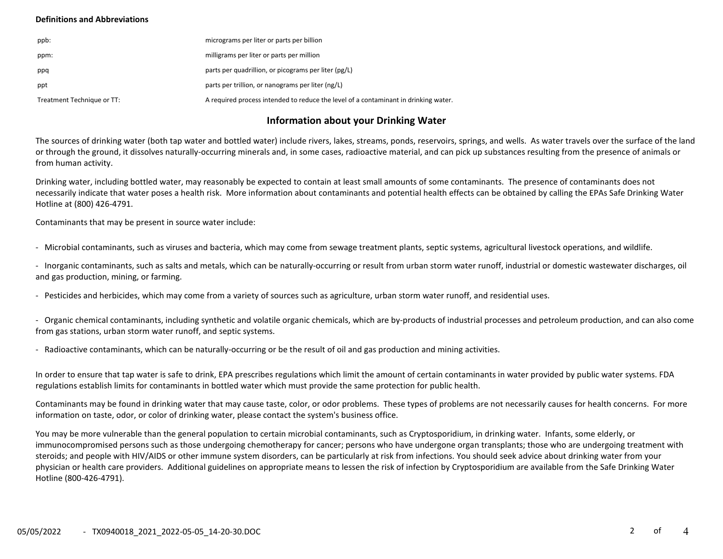### **Definitions and Abbreviations**

| ppb:                       | micrograms per liter or parts per billion                                           |
|----------------------------|-------------------------------------------------------------------------------------|
| ppm:                       | milligrams per liter or parts per million                                           |
| ppq                        | parts per quadrillion, or picograms per liter (pg/L)                                |
| ppt                        | parts per trillion, or nanograms per liter (ng/L)                                   |
| Treatment Technique or TT: | A required process intended to reduce the level of a contaminant in drinking water. |

## **Information about your Drinking Water**

The sources of drinking water (both tap water and bottled water) include rivers, lakes, streams, ponds, reservoirs, springs, and wells. As water travels over the surface of the land or through the ground, it dissolves naturally-occurring minerals and, in some cases, radioactive material, and can pick up substances resulting from the presence of animals or from human activity.

Drinking water, including bottled water, may reasonably be expected to contain at least small amounts of some contaminants. The presence of contaminants does not necessarily indicate that water poses a health risk. More information about contaminants and potential health effects can be obtained by calling the EPAs Safe Drinking Water Hotline at (800) 426-4791.

Contaminants that may be present in source water include:

- Microbial contaminants, such as viruses and bacteria, which may come from sewage treatment plants, septic systems, agricultural livestock operations, and wildlife.

- Inorganic contaminants, such as salts and metals, which can be naturally-occurring or result from urban storm water runoff, industrial or domestic wastewater discharges, oil and gas production, mining, or farming.

- Pesticides and herbicides, which may come from a variety of sources such as agriculture, urban storm water runoff, and residential uses.

- Organic chemical contaminants, including synthetic and volatile organic chemicals, which are by-products of industrial processes and petroleum production, and can also come from gas stations, urban storm water runoff, and septic systems.

- Radioactive contaminants, which can be naturally-occurring or be the result of oil and gas production and mining activities.

In order to ensure that tap water is safe to drink, EPA prescribes regulations which limit the amount of certain contaminants in water provided by public water systems. FDA regulations establish limits for contaminants in bottled water which must provide the same protection for public health.

Contaminants may be found in drinking water that may cause taste, color, or odor problems. These types of problems are not necessarily causes for health concerns. For more information on taste, odor, or color of drinking water, please contact the system's business office.

You may be more vulnerable than the general population to certain microbial contaminants, such as Cryptosporidium, in drinking water. Infants, some elderly, or immunocompromised persons such as those undergoing chemotherapy for cancer; persons who have undergone organ transplants; those who are undergoing treatment with steroids; and people with HIV/AIDS or other immune system disorders, can be particularly at risk from infections. You should seek advice about drinking water from your physician or health care providers. Additional guidelines on appropriate means to lessen the risk of infection by Cryptosporidium are available from the Safe Drinking Water Hotline (800-426-4791).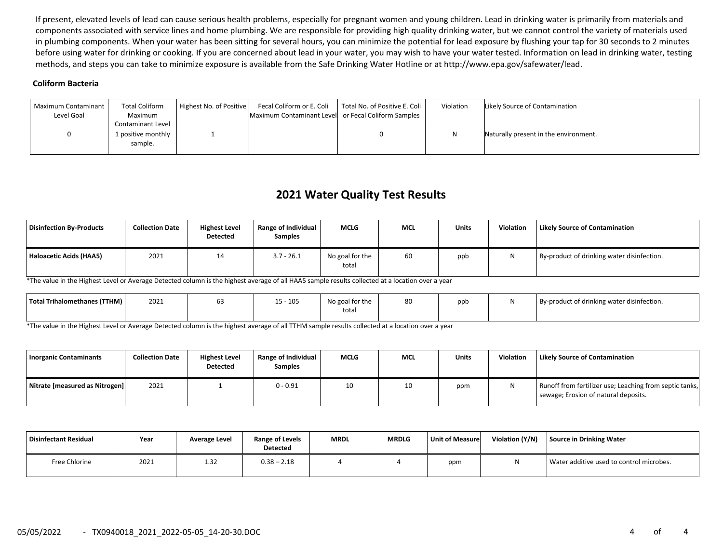If present, elevated levels of lead can cause serious health problems, especially for pregnant women and young children. Lead in drinking water is primarily from materials and components associated with service lines and home plumbing. We are responsible for providing high quality drinking water, but we cannot control the variety of materials used in plumbing components. When your water has been sitting for several hours, you can minimize the potential for lead exposure by flushing your tap for 30 seconds to 2 minutes before using water for drinking or cooking. If you are concerned about lead in your water, you may wish to have your water tested. Information on lead in drinking water, testing methods, and steps you can take to minimize exposure is available from the Safe Drinking Water Hotline or at http://www.epa.gov/safewater/lead.

### **Coliform Bacteria**

| Maximum Contaminant<br>Level Goal | <b>Total Coliform</b><br>Maximum<br>Contaminant Level | Highest No. of Positive | Maximum Contaminant Level or Fecal Coliform Samples | Fecal Coliform or E. Coli   Total No. of Positive E. Coli | Violation | Likely Source of Contamination        |
|-----------------------------------|-------------------------------------------------------|-------------------------|-----------------------------------------------------|-----------------------------------------------------------|-----------|---------------------------------------|
|                                   | 1 positive monthly<br>sample.                         |                         |                                                     |                                                           |           | Naturally present in the environment. |

# **2021 Water Quality Test Results**

| Disinfection By-Products | <b>Collection Date</b> | <b>Highest Level</b><br><b>Detected</b> | <b>Range of Individual</b><br><b>Samples</b> | <b>MCLG</b>              | <b>MCL</b> | <b>Units</b> | Violation | <b>Likely Source of Contamination</b>      |
|--------------------------|------------------------|-----------------------------------------|----------------------------------------------|--------------------------|------------|--------------|-----------|--------------------------------------------|
| Haloacetic Acids (HAA5)  | 2021                   | 14                                      | $3.7 - 26.1$                                 | No goal for the<br>total | 60         | ppb          | N         | By-product of drinking water disinfection. |

\*The value in the Highest Level or Average Detected column is the highest average of all HAA5 sample results collected at a location over a year

| Total Trihalomethanes (TTHM) | 2021 | 105 - ز | No goal for the<br>total | $\sim$ | ppb | By-product of drinking water disinfection. |
|------------------------------|------|---------|--------------------------|--------|-----|--------------------------------------------|
|                              |      |         |                          |        |     |                                            |

\*The value in the Highest Level or Average Detected column is the highest average of all TTHM sample results collected at a location over a year

| <b>Inorganic Contaminants</b>  | <b>Collection Date</b> | <b>Highest Level</b><br>Detected | <b>Range of Individual  </b><br><b>Samples</b> | <b>MCLG</b> | <b>MCL</b> | <b>Units</b> | <b>Violation</b> | <b>Likely Source of Contamination</b>                                                           |
|--------------------------------|------------------------|----------------------------------|------------------------------------------------|-------------|------------|--------------|------------------|-------------------------------------------------------------------------------------------------|
| Nitrate [measured as Nitrogen] | 2021                   |                                  | $0 - 0.91$                                     | 10          | 10         | ppm          |                  | Runoff from fertilizer use; Leaching from septic tanks,<br>sewage; Erosion of natural deposits. |

| Disinfectant Residual | Year | Average Level | Range of Levels<br><b>Detected</b> | <b>MRDL</b> | <b>MRDLG</b> | Unit of Measure | Violation (Y/N) | Source in Drinking Water                 |
|-----------------------|------|---------------|------------------------------------|-------------|--------------|-----------------|-----------------|------------------------------------------|
| Free Chlorine         | 2021 | 1.32          | $0.38 - 2.18$                      |             |              | ppm             |                 | Water additive used to control microbes. |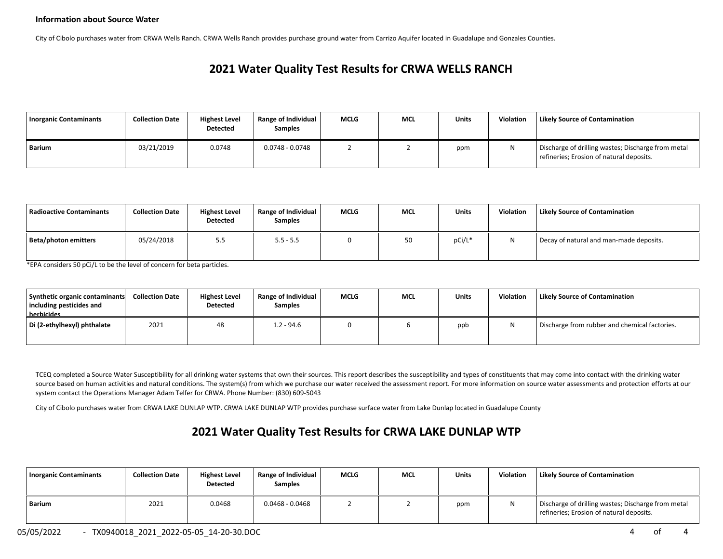### **Information about Source Water**

City of Cibolo purchases water from CRWA Wells Ranch. CRWA Wells Ranch provides purchase ground water from Carrizo Aquifer located in Guadalupe and Gonzales Counties.

# **2021 Water Quality Test Results for CRWA WELLS RANCH**

| <b>Inorganic Contaminants</b> | <b>Collection Date</b> | <b>Highest Level</b><br>Detected | <b>Range of Individual</b><br><b>Samples</b> | <b>MCLG</b> | <b>MCL</b> | Units | Violation | <b>Likely Source of Contamination</b>                                                          |
|-------------------------------|------------------------|----------------------------------|----------------------------------------------|-------------|------------|-------|-----------|------------------------------------------------------------------------------------------------|
| Barium                        | 03/21/2019             | 0.0748                           | $0.0748 - 0.0748$                            |             |            | ppm   |           | Discharge of drilling wastes; Discharge from metal<br>refineries; Erosion of natural deposits. |

| l Radioactive Contaminants | <b>Collection Date</b> | <b>Highest Level</b><br><b>Detected</b> | <b>Range of Individual</b><br><b>Samples</b> | <b>MCLG</b> | <b>MCL</b> | <b>Units</b> | <b>Violation</b> | <b>Likely Source of Contamination</b>   |
|----------------------------|------------------------|-----------------------------------------|----------------------------------------------|-------------|------------|--------------|------------------|-----------------------------------------|
| Beta/photon emitters       | 05/24/2018             | 5.5                                     | $5.5 - 5.5$                                  |             | 50         | pCi/L*       | N                | Decay of natural and man-made deposits. |

\*EPA considers 50 pCi/L to be the level of concern for beta particles.

| Synthetic organic contaminants<br>including pesticides and<br>herbicides | <b>Collection Date</b> | <b>Highest Level</b><br><b>Detected</b> | <b>Range of Individual</b><br><b>Samples</b> | <b>MCLG</b> | <b>MCL</b> | Units | Violation | <b>Likely Source of Contamination</b>         |
|--------------------------------------------------------------------------|------------------------|-----------------------------------------|----------------------------------------------|-------------|------------|-------|-----------|-----------------------------------------------|
| Di (2-ethylhexyl) phthalate                                              | 2021                   | 48                                      | 1.2 - 94.6                                   |             |            | ppb   |           | Discharge from rubber and chemical factories. |

TCEQ completed a Source Water Susceptibility for all drinking water systems that own their sources. This report describes the susceptibility and types of constituents that may come into contact with the drinking water source based on human activities and natural conditions. The system(s) from which we purchase our water received the assessment report. For more information on source water assessments and protection efforts at our system contact the Operations Manager Adam Telfer for CRWA. Phone Number: (830) 609-5043

City of Cibolo purchases water from CRWA LAKE DUNLAP WTP. CRWA LAKE DUNLAP WTP provides purchase surface water from Lake Dunlap located in Guadalupe County

## **2021 Water Quality Test Results for CRWA LAKE DUNLAP WTP**

| <b>Inorganic Contaminants</b> | <b>Collection Date</b> | <b>Highest Level</b><br><b>Detected</b> | Range of Individual<br><b>Samples</b> | <b>MCLG</b> | <b>MCL</b> | <b>Units</b> | Violation | <b>Likely Source of Contamination</b>                                                          |
|-------------------------------|------------------------|-----------------------------------------|---------------------------------------|-------------|------------|--------------|-----------|------------------------------------------------------------------------------------------------|
| Barium                        | 2021                   | 0.0468                                  | $0.0468 - 0.0468$                     |             |            | ppm          |           | Discharge of drilling wastes; Discharge from metal<br>refineries; Erosion of natural deposits. |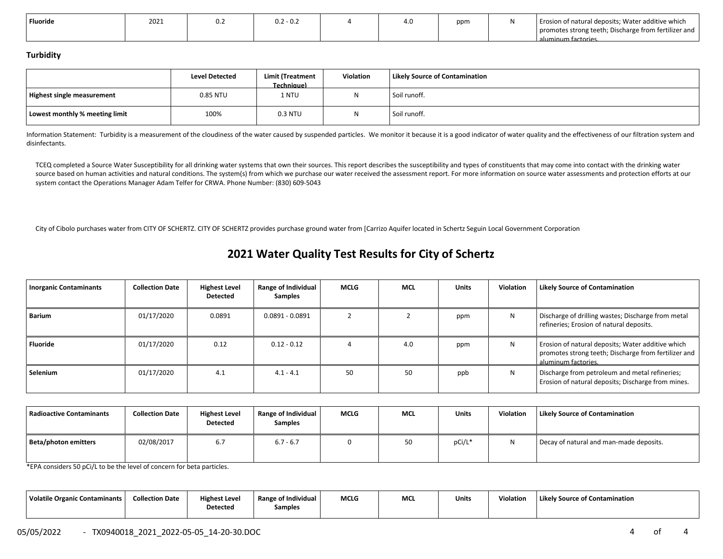| <b>Fluoride</b> | 2021 | $0.2 - 0.2$ | ຳດ<br>u | ppm | Erosion of natural deposits; Water additive which<br>promotes strong teeth; Discharge from fertilizer and |
|-----------------|------|-------------|---------|-----|-----------------------------------------------------------------------------------------------------------|
|                 |      |             |         |     | aluminum factories                                                                                        |

#### **Turbidity**

|                                | <b>Level Detected</b> | <b>Limit (Treatment</b><br><b>Technique)</b> | Violation | <b>Likely Source of Contamination</b> |
|--------------------------------|-----------------------|----------------------------------------------|-----------|---------------------------------------|
| Highest single measurement     | 0.85 NTU              | 1 NTU                                        |           | Soil runoff.                          |
| Lowest monthly % meeting limit | 100%                  | 0.3 NTU                                      |           | Soil runoff.                          |

Information Statement: Turbidity is a measurement of the cloudiness of the water caused by suspended particles. We monitor it because it is a good indicator of water quality and the effectiveness of our filtration system a disinfectants.

TCEQ completed a Source Water Susceptibility for all drinking water systems that own their sources. This report describes the susceptibility and types of constituents that may come into contact with the drinking water source based on human activities and natural conditions. The system(s) from which we purchase our water received the assessment report. For more information on source water assessments and protection efforts at our system contact the Operations Manager Adam Telfer for CRWA. Phone Number: (830) 609-5043

City of Cibolo purchases water from CITY OF SCHERTZ. CITY OF SCHERTZ provides purchase ground water from [Carrizo Aquifer located in Schertz Seguin Local Government Corporation

## **2021 Water Quality Test Results for City of Schertz**

| <b>Inorganic Contaminants</b> | <b>Collection Date</b> | <b>Highest Level</b><br><b>Detected</b> | <b>Range of Individual</b><br><b>Samples</b> | <b>MCLG</b> | <b>MCL</b> | <b>Units</b> | Violation | <b>Likely Source of Contamination</b>                                                                                            |
|-------------------------------|------------------------|-----------------------------------------|----------------------------------------------|-------------|------------|--------------|-----------|----------------------------------------------------------------------------------------------------------------------------------|
| Barium                        | 01/17/2020             | 0.0891                                  | $0.0891 - 0.0891$                            |             |            | ppm          | N         | Discharge of drilling wastes; Discharge from metal<br>refineries; Erosion of natural deposits.                                   |
| Fluoride                      | 01/17/2020             | 0.12                                    | $0.12 - 0.12$                                |             | 4.0        | ppm          | N         | Erosion of natural deposits; Water additive which<br>promotes strong teeth; Discharge from fertilizer and<br>aluminum factories. |
| Selenium                      | 01/17/2020             | 4.1                                     | $4.1 - 4.1$                                  | 50          | 50         | ppb          | N         | Discharge from petroleum and metal refineries;<br>Erosion of natural deposits; Discharge from mines.                             |

| Radioactive Contaminants | <b>Collection Date</b> | <b>Highest Level</b><br><b>Detected</b> | Range of Individual<br><b>Samples</b> | <b>MCLG</b> | <b>MCL</b> | Units  | Violation | <b>Likely Source of Contamination</b>   |
|--------------------------|------------------------|-----------------------------------------|---------------------------------------|-------------|------------|--------|-----------|-----------------------------------------|
| Beta/photon emitters     | 02/08/2017             | 6.7                                     | $6.7 - 6.7$                           |             | 50         | pCi/L* |           | Decay of natural and man-made deposits. |

\*EPA considers 50 pCi/L to be the level of concern for beta particles.

| Volatile Organic Contaminants | <b>Collection Date</b> | <b>Highest Level</b><br><b>Detected</b> | Range of Individual<br>Samples | <b>MCLG</b><br>___ | MC | Unit: | Violation | Likely Source of Contamination |
|-------------------------------|------------------------|-----------------------------------------|--------------------------------|--------------------|----|-------|-----------|--------------------------------|
|                               |                        |                                         |                                |                    |    |       |           |                                |